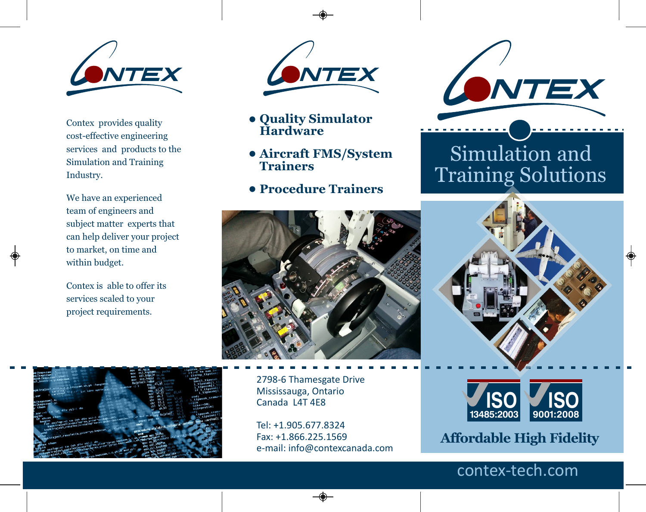

Contex provides quality cost-effective engineering services and products to the Simulation and Training Industry.

We have an experienced team of engineers and subject matter experts that can help deliver your project to market, on time and within budget.

Contex is able to offer its services scaled to your project requirements.





- **Quality Simulator Hardware •**
- **Aircraft FMS/System • Trainers**
- **Procedure Trainers •**



2798-6 Thamesgate Drive Mississauga, Ontario Canada L4T 4E8

Tel: +1.905.677.8324 Fax: +1.866.225.1569 e-mail: info@contexcanada.com



# Simulation and Training Solutions





**Affordable High Fidelity**

### contex-tech.com